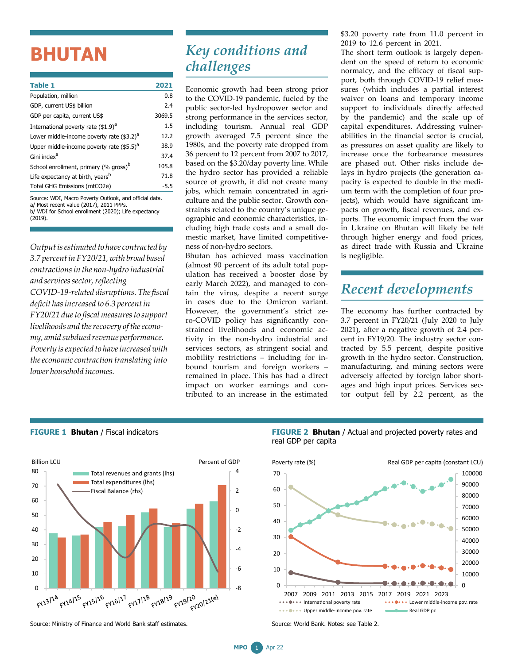## **BHUTAN**

| <b>Table 1</b>                                        | 2021   |
|-------------------------------------------------------|--------|
| Population, million                                   | 0.8    |
| GDP, current US\$ billion                             | 2.4    |
| GDP per capita, current US\$                          | 3069.5 |
| International poverty rate (\$1.9) <sup>a</sup>       | 1.5    |
| Lower middle-income poverty rate (\$3.2) <sup>a</sup> | 12.2   |
| Upper middle-income poverty rate $(55.5)^{a}$         | 38.9   |
| Gini index <sup>a</sup>                               | 37.4   |
| School enrollment, primary (% gross) <sup>b</sup>     | 105.8  |
| Life expectancy at birth, years <sup>b</sup>          | 71.8   |
| Total GHG Emissions (mtCO2e)                          | $-5.5$ |
|                                                       |        |

Source: WDI, Macro Poverty Outlook, and official data. a/ Most recent value (2017), 2011 PPPs. b/ WDI for School enrollment (2020); Life expectancy (2019).

*Outputisestimated to have contracted by 3.7 percentin FY20/21, with broad based contractionsin the non-hydro industrial and servicessector,reflecting COVID-19-related disruptions. The fiscal deficit hasincreased to 6.3 percentin FY20/21 dueto fiscalmeasuresto support* livelihoods and the recovery of the econo*my, amid subdued revenue performance. Poverty isexpected to haveincreased with theeconomic contraction translating into lower household incomes.*

## *Key conditions and challenges*

Economic growth had been strong prior to the COVID-19 pandemic, fueled by the public sector-led hydropower sector and strong performance in the services sector, including tourism. Annual real GDP growth averaged 7.5 percent since the 1980s, and the poverty rate dropped from 36 percent to 12 percent from 2007 to 2017, based on the \$3.20/day poverty line. While the hydro sector has provided a reliable source of growth, it did not create many jobs, which remain concentrated in agriculture and the public sector. Growth constraints related to the country's unique geographic and economic characteristics, including high trade costs and a small domestic market, have limited competitiveness of non-hydro sectors.

Bhutan has achieved mass vaccination (almost 90 percent of its adult total population has received a booster dose by early March 2022), and managed to contain the virus, despite a recent surge in cases due to the Omicron variant. However, the government's strict zero-COVID policy has significantly constrained livelihoods and economic activity in the non-hydro industrial and services sectors, as stringent social and mobility restrictions – including for inbound tourism and foreign workers – remained in place. This has had a direct impact on worker earnings and contributed to an increase in the estimated

\$3.20 poverty rate from 11.0 percent in 2019 to 12.6 percent in 2021.

The short term outlook is largely dependent on the speed of return to economic normalcy, and the efficacy of fiscal support, both through COVID-19 relief measures (which includes a partial interest waiver on loans and temporary income support to individuals directly affected by the pandemic) and the scale up of capital expenditures. Addressing vulnerabilities in the financial sector is crucial, as pressures on asset quality are likely to increase once the forbearance measures are phased out. Other risks include delays in hydro projects (the generation capacity is expected to double in the medium term with the completion of four projects), which would have significant impacts on growth, fiscal revenues, and exports. The economic impact from the war in Ukraine on Bhutan will likely be felt through higher energy and food prices, as direct trade with Russia and Ukraine is negligible.

## *Recent developments*

The economy has further contracted by 3.7 percent in FY20/21 (July 2020 to July 2021), after a negative growth of 2.4 percent in FY19/20. The industry sector contracted by 5.5 percent, despite positive growth in the hydro sector. Construction, manufacturing, and mining sectors were adversely affected by foreign labor shortages and high input prices. Services sector output fell by 2.2 percent, as the



**FIGURE 1 Bhutan** / Fiscal indicators

**FIGURE 2 Bhutan** / Actual and projected poverty rates and real GDP per capita



Source: World Bank. Notes: see Table 2.

Source: Ministry of Finance and World Bank staff estimates.